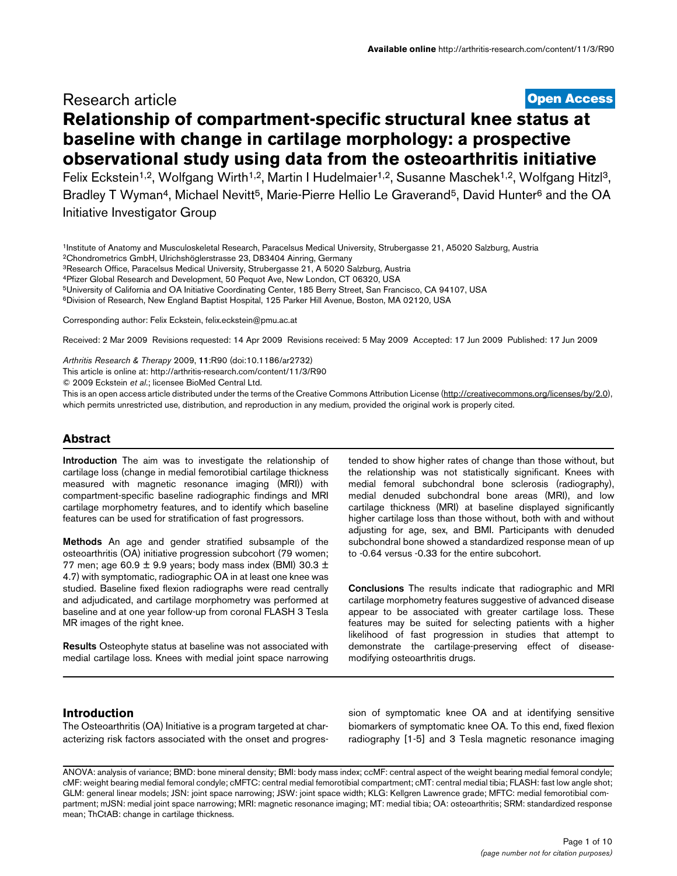# **[Open Access](http://www.biomedcentral.com/info/about/charter/)** Research article **Relationship of compartment-specific structural knee status at baseline with change in cartilage morphology: a prospective observational study using data from the osteoarthritis initiative**

Felix Eckstein<sup>1,2</sup>, Wolfgang Wirth<sup>1,2</sup>, Martin I Hudelmaier<sup>1,2</sup>, Susanne Maschek<sup>1,2</sup>, Wolfgang Hitzl<sup>3</sup>, Bradley T Wyman<sup>4</sup>, Michael Nevitt<sup>5</sup>, Marie-Pierre Hellio Le Graverand<sup>5</sup>, David Hunter<sup>6</sup> and the OA Initiative Investigator Group

1Institute of Anatomy and Musculoskeletal Research, Paracelsus Medical University, Strubergasse 21, A5020 Salzburg, Austria

3Research Office, Paracelsus Medical University, Strubergasse 21, A 5020 Salzburg, Austria

4Pfizer Global Research and Development, 50 Pequot Ave, New London, CT 06320, USA

5University of California and OA Initiative Coordinating Center, 185 Berry Street, San Francisco, CA 94107, USA

6Division of Research, New England Baptist Hospital, 125 Parker Hill Avenue, Boston, MA 02120, USA

Corresponding author: Felix Eckstein, felix.eckstein@pmu.ac.at

Received: 2 Mar 2009 Revisions requested: 14 Apr 2009 Revisions received: 5 May 2009 Accepted: 17 Jun 2009 Published: 17 Jun 2009

*Arthritis Research & Therapy* 2009, **11**:R90 (doi:10.1186/ar2732)

[This article is online at: http://arthritis-research.com/content/11/3/R90](http://arthritis-research.com/content/11/3/R90)

© 2009 Eckstein *et al*.; licensee BioMed Central Ltd.

This is an open access article distributed under the terms of the Creative Commons Attribution License [\(http://creativecommons.org/licenses/by/2.0\)](http://creativecommons.org/licenses/by/2.0), which permits unrestricted use, distribution, and reproduction in any medium, provided the original work is properly cited.

# **Abstract**

**Introduction** The aim was to investigate the relationship of cartilage loss (change in medial femorotibial cartilage thickness measured with magnetic resonance imaging (MRI)) with compartment-specific baseline radiographic findings and MRI cartilage morphometry features, and to identify which baseline features can be used for stratification of fast progressors.

**Methods** An age and gender stratified subsample of the osteoarthritis (OA) initiative progression subcohort (79 women; 77 men; age 60.9  $\pm$  9.9 years; body mass index (BMI) 30.3  $\pm$ 4.7) with symptomatic, radiographic OA in at least one knee was studied. Baseline fixed flexion radiographs were read centrally and adjudicated, and cartilage morphometry was performed at baseline and at one year follow-up from coronal FLASH 3 Tesla MR images of the right knee.

**Results** Osteophyte status at baseline was not associated with medial cartilage loss. Knees with medial joint space narrowing

tended to show higher rates of change than those without, but the relationship was not statistically significant. Knees with medial femoral subchondral bone sclerosis (radiography), medial denuded subchondral bone areas (MRI), and low cartilage thickness (MRI) at baseline displayed significantly higher cartilage loss than those without, both with and without adjusting for age, sex, and BMI. Participants with denuded subchondral bone showed a standardized response mean of up to -0.64 versus -0.33 for the entire subcohort.

**Conclusions** The results indicate that radiographic and MRI cartilage morphometry features suggestive of advanced disease appear to be associated with greater cartilage loss. These features may be suited for selecting patients with a higher likelihood of fast progression in studies that attempt to demonstrate the cartilage-preserving effect of diseasemodifying osteoarthritis drugs.

# **Introduction**

The Osteoarthritis (OA) Initiative is a program targeted at characterizing risk factors associated with the onset and progression of symptomatic knee OA and at identifying sensitive biomarkers of symptomatic knee OA. To this end, fixed flexion radiography [1-5] and 3 Tesla magnetic resonance imaging

ANOVA: analysis of variance; BMD: bone mineral density; BMI: body mass index; ccMF: central aspect of the weight bearing medial femoral condyle; cMF: weight bearing medial femoral condyle; cMFTC: central medial femorotibial compartment; cMT: central medial tibia; FLASH: fast low angle shot; GLM: general linear models; JSN: joint space narrowing; JSW: joint space width; KLG: Kellgren Lawrence grade; MFTC: medial femorotibial compartment; mJSN: medial joint space narrowing; MRI: magnetic resonance imaging; MT: medial tibia; OA: osteoarthritis; SRM: standardized response mean; ThCtAB: change in cartilage thickness.

<sup>2</sup>Chondrometrics GmbH, Ulrichshöglerstrasse 23, D83404 Ainring, Germany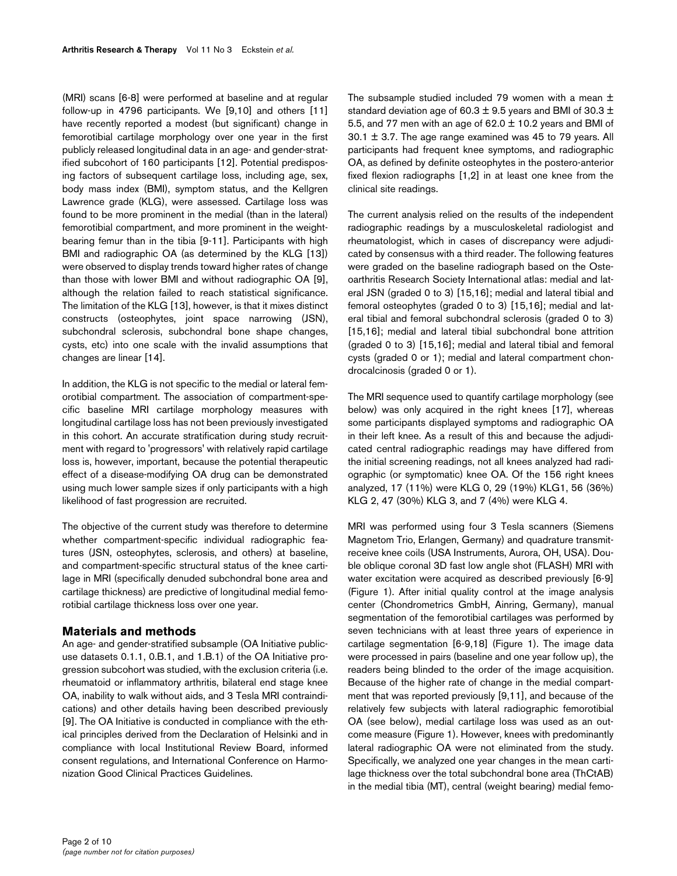(MRI) scans [6-8] were performed at baseline and at regular follow-up in 4796 participants. We [9,10] and others [11] have recently reported a modest (but significant) change in femorotibial cartilage morphology over one year in the first publicly released longitudinal data in an age- and gender-stratified subcohort of 160 participants [12]. Potential predisposing factors of subsequent cartilage loss, including age, sex, body mass index (BMI), symptom status, and the Kellgren Lawrence grade (KLG), were assessed. Cartilage loss was found to be more prominent in the medial (than in the lateral) femorotibial compartment, and more prominent in the weightbearing femur than in the tibia [9-11]. Participants with high BMI and radiographic OA (as determined by the KLG [13]) were observed to display trends toward higher rates of change than those with lower BMI and without radiographic OA [9], although the relation failed to reach statistical significance. The limitation of the KLG [13], however, is that it mixes distinct constructs (osteophytes, joint space narrowing (JSN), subchondral sclerosis, subchondral bone shape changes, cysts, etc) into one scale with the invalid assumptions that changes are linear [14].

In addition, the KLG is not specific to the medial or lateral femorotibial compartment. The association of compartment-specific baseline MRI cartilage morphology measures with longitudinal cartilage loss has not been previously investigated in this cohort. An accurate stratification during study recruitment with regard to 'progressors' with relatively rapid cartilage loss is, however, important, because the potential therapeutic effect of a disease-modifying OA drug can be demonstrated using much lower sample sizes if only participants with a high likelihood of fast progression are recruited.

The objective of the current study was therefore to determine whether compartment-specific individual radiographic features (JSN, osteophytes, sclerosis, and others) at baseline, and compartment-specific structural status of the knee cartilage in MRI (specifically denuded subchondral bone area and cartilage thickness) are predictive of longitudinal medial femorotibial cartilage thickness loss over one year.

# **Materials and methods**

An age- and gender-stratified subsample (OA Initiative publicuse datasets 0.1.1, 0.B.1, and 1.B.1) of the OA Initiative progression subcohort was studied, with the exclusion criteria (i.e. rheumatoid or inflammatory arthritis, bilateral end stage knee OA, inability to walk without aids, and 3 Tesla MRI contraindications) and other details having been described previously [9]. The OA Initiative is conducted in compliance with the ethical principles derived from the Declaration of Helsinki and in compliance with local Institutional Review Board, informed consent regulations, and International Conference on Harmonization Good Clinical Practices Guidelines.

The subsample studied included 79 women with a mean  $\pm$ standard deviation age of 60.3  $\pm$  9.5 years and BMI of 30.3  $\pm$ 5.5, and 77 men with an age of  $62.0 \pm 10.2$  years and BMI of 30.1  $\pm$  3.7. The age range examined was 45 to 79 years. All participants had frequent knee symptoms, and radiographic OA, as defined by definite osteophytes in the postero-anterior fixed flexion radiographs [1,2] in at least one knee from the clinical site readings.

The current analysis relied on the results of the independent radiographic readings by a musculoskeletal radiologist and rheumatologist, which in cases of discrepancy were adjudicated by consensus with a third reader. The following features were graded on the baseline radiograph based on the Osteoarthritis Research Society International atlas: medial and lateral JSN (graded 0 to 3) [15,16]; medial and lateral tibial and femoral osteophytes (graded 0 to 3) [15,16]; medial and lateral tibial and femoral subchondral sclerosis (graded 0 to 3) [15,16]; medial and lateral tibial subchondral bone attrition (graded 0 to 3) [15,16]; medial and lateral tibial and femoral cysts (graded 0 or 1); medial and lateral compartment chondrocalcinosis (graded 0 or 1).

The MRI sequence used to quantify cartilage morphology (see below) was only acquired in the right knees [17], whereas some participants displayed symptoms and radiographic OA in their left knee. As a result of this and because the adjudicated central radiographic readings may have differed from the initial screening readings, not all knees analyzed had radiographic (or symptomatic) knee OA. Of the 156 right knees analyzed, 17 (11%) were KLG 0, 29 (19%) KLG1, 56 (36%) KLG 2, 47 (30%) KLG 3, and 7 (4%) were KLG 4.

MRI was performed using four 3 Tesla scanners (Siemens Magnetom Trio, Erlangen, Germany) and quadrature transmitreceive knee coils (USA Instruments, Aurora, OH, USA). Double oblique coronal 3D fast low angle shot (FLASH) MRI with water excitation were acquired as described previously [6-9] (Figure 1). After initial quality control at the image analysis center (Chondrometrics GmbH, Ainring, Germany), manual segmentation of the femorotibial cartilages was performed by seven technicians with at least three years of experience in cartilage segmentation [6-9,18] (Figure 1). The image data were processed in pairs (baseline and one year follow up), the readers being blinded to the order of the image acquisition. Because of the higher rate of change in the medial compartment that was reported previously [9,11], and because of the relatively few subjects with lateral radiographic femorotibial OA (see below), medial cartilage loss was used as an outcome measure (Figure 1). However, knees with predominantly lateral radiographic OA were not eliminated from the study. Specifically, we analyzed one year changes in the mean cartilage thickness over the total subchondral bone area (ThCtAB) in the medial tibia (MT), central (weight bearing) medial femo-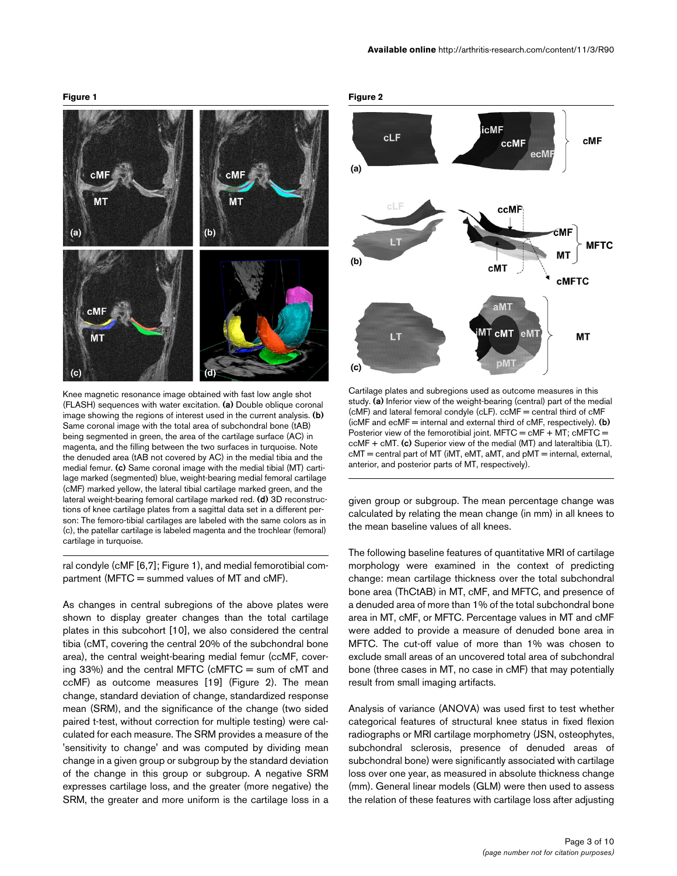



Knee magnetic resonance image obtained with fast low angle shot (FLASH) sequences with water excitation. **(a)** Double oblique coronal image showing the regions of interest used in the current analysis. **(b)**  Same coronal image with the total area of subchondral bone (tAB) being segmented in green, the area of the cartilage surface (AC) in magenta, and the filling between the two surfaces in turquoise. Note the denuded area (tAB not covered by AC) in the medial tibia and the medial femur. **(c)** Same coronal image with the medial tibial (MT) cartilage marked (segmented) blue, weight-bearing medial femoral cartilage (cMF) marked yellow, the lateral tibial cartilage marked green, and the lateral weight-bearing femoral cartilage marked red. **(d)** 3D reconstructions of knee cartilage plates from a sagittal data set in a different person: The femoro-tibial cartilages are labeled with the same colors as in (c), the patellar cartilage is labeled magenta and the trochlear (femoral) cartilage in turquoise.

ral condyle (cMF [6,7]; Figure 1), and medial femorotibial compartment (MFTC = summed values of MT and cMF).

As changes in central subregions of the above plates were shown to display greater changes than the total cartilage plates in this subcohort [10], we also considered the central tibia (cMT, covering the central 20% of the subchondral bone area), the central weight-bearing medial femur (ccMF, covering  $33\%$ ) and the central MFTC (cMFTC = sum of cMT and ccMF) as outcome measures [19] (Figure 2). The mean change, standard deviation of change, standardized response mean (SRM), and the significance of the change (two sided paired t-test, without correction for multiple testing) were calculated for each measure. The SRM provides a measure of the 'sensitivity to change' and was computed by dividing mean change in a given group or subgroup by the standard deviation of the change in this group or subgroup. A negative SRM expresses cartilage loss, and the greater (more negative) the SRM, the greater and more uniform is the cartilage loss in a



Cartilage plates and subregions used as outcome measures in this study. **(a)** Inferior view of the weight-bearing (central) part of the medial (cMF) and lateral femoral condyle (cLF). ccMF = central third of cMF (icMF and ecMF = internal and external third of cMF, respectively). **(b)**  Posterior view of the femorotibial joint.  $MFTC = cMF + MT$ ;  $cMFTC =$ ccMF + cMT. **(c)** Superior view of the medial (MT) and lateraltibia (LT).  $cMT =$  central part of MT (iMT, eMT, aMT, and  $pMT =$  internal, external, anterior, and posterior parts of MT, respectively).

given group or subgroup. The mean percentage change was calculated by relating the mean change (in mm) in all knees to the mean baseline values of all knees.

The following baseline features of quantitative MRI of cartilage morphology were examined in the context of predicting change: mean cartilage thickness over the total subchondral bone area (ThCtAB) in MT, cMF, and MFTC, and presence of a denuded area of more than 1% of the total subchondral bone area in MT, cMF, or MFTC. Percentage values in MT and cMF were added to provide a measure of denuded bone area in MFTC. The cut-off value of more than 1% was chosen to exclude small areas of an uncovered total area of subchondral bone (three cases in MT, no case in cMF) that may potentially result from small imaging artifacts.

Analysis of variance (ANOVA) was used first to test whether categorical features of structural knee status in fixed flexion radiographs or MRI cartilage morphometry (JSN, osteophytes, subchondral sclerosis, presence of denuded areas of subchondral bone) were significantly associated with cartilage loss over one year, as measured in absolute thickness change (mm). General linear models (GLM) were then used to assess the relation of these features with cartilage loss after adjusting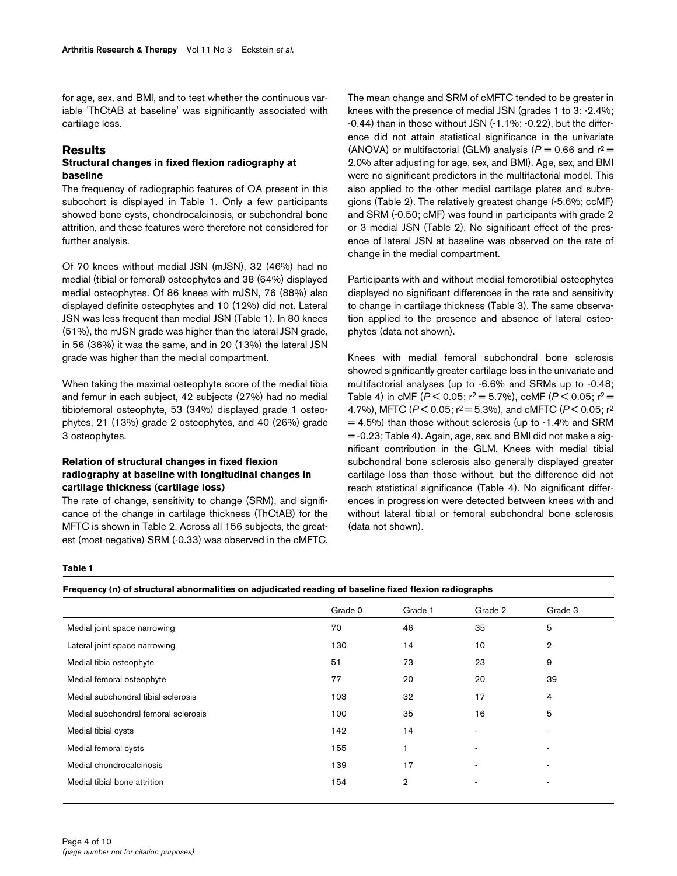for age, sex, and BMI, and to test whether the continuous variable 'ThCtAB at baseline' was significantly associated with cartilage loss.

# **Results**

# **Structural changes in fixed flexion radiography at baseline**

The frequency of radiographic features of OA present in this subcohort is displayed in Table 1. Only a few participants showed bone cysts, chondrocalcinosis, or subchondral bone attrition, and these features were therefore not considered for further analysis.

Of 70 knees without medial JSN (mJSN), 32 (46%) had no medial (tibial or femoral) osteophytes and 38 (64%) displayed medial osteophytes. Of 86 knees with mJSN, 76 (88%) also displayed definite osteophytes and 10 (12%) did not. Lateral JSN was less frequent than medial JSN (Table 1). In 80 knees (51%), the mJSN grade was higher than the lateral JSN grade, in 56 (36%) it was the same, and in 20 (13%) the lateral JSN grade was higher than the medial compartment.

When taking the maximal osteophyte score of the medial tibia and femur in each subject, 42 subjects (27%) had no medial tibiofemoral osteophyte, 53 (34%) displayed grade 1 osteophytes, 21 (13%) grade 2 osteophytes, and 40 (26%) grade 3 osteophytes.

# **Relation of structural changes in fixed flexion radiography at baseline with longitudinal changes in cartilage thickness (cartilage loss)**

The rate of change, sensitivity to change (SRM), and significance of the change in cartilage thickness (ThCtAB) for the MFTC is shown in Table 2. Across all 156 subjects, the greatest (most negative) SRM (-0.33) was observed in the cMFTC. The mean change and SRM of cMFTC tended to be greater in knees with the presence of medial JSN (grades 1 to 3: -2.4%; -0.44) than in those without JSN (-1.1%; -0.22), but the difference did not attain statistical significance in the univariate (ANOVA) or multifactorial (GLM) analysis ( $P = 0.66$  and  $r^2 =$ 2.0% after adjusting for age, sex, and BMI). Age, sex, and BMI were no significant predictors in the multifactorial model. This also applied to the other medial cartilage plates and subregions (Table 2). The relatively greatest change (-5.6%; ccMF) and SRM (-0.50; cMF) was found in participants with grade 2 or 3 medial JSN (Table 2). No significant effect of the presence of lateral JSN at baseline was observed on the rate of change in the medial compartment.

Participants with and without medial femorotibial osteophytes displayed no significant differences in the rate and sensitivity to change in cartilage thickness (Table 3). The same observation applied to the presence and absence of lateral osteophytes (data not shown).

Knees with medial femoral subchondral bone sclerosis showed significantly greater cartilage loss in the univariate and multifactorial analyses (up to -6.6% and SRMs up to -0.48; Table 4) in cMF ( $P < 0.05$ ;  $r^2 = 5.7$ %), ccMF ( $P < 0.05$ ;  $r^2 =$ 4.7%), MFTC (*P* < 0.05; r2 = 5.3%), and cMFTC (*P* < 0.05; r2  $= 4.5\%$ ) than those without sclerosis (up to  $-1.4\%$  and SRM  $=$  -0.23; Table 4). Again, age, sex, and BMI did not make a significant contribution in the GLM. Knees with medial tibial subchondral bone sclerosis also generally displayed greater cartilage loss than those without, but the difference did not reach statistical significance (Table 4). No significant differences in progression were detected between knees with and without lateral tibial or femoral subchondral bone sclerosis (data not shown).

### **Table 1**

|  | Frequency (n) of structural abnormalities on adjudicated reading of baseline fixed flexion radiographs |  |  |  |
|--|--------------------------------------------------------------------------------------------------------|--|--|--|
|  |                                                                                                        |  |  |  |

|                                      | Grade 0 | Grade 1        | Grade 2                  | Grade 3        |
|--------------------------------------|---------|----------------|--------------------------|----------------|
| Medial joint space narrowing         | 70      | 46             | 35                       | 5              |
| Lateral joint space narrowing        | 130     | 14             | 10                       | $\overline{2}$ |
| Medial tibia osteophyte              | 51      | 73             | 23                       | 9              |
| Medial femoral osteophyte            | 77      | 20             | 20                       | 39             |
| Medial subchondral tibial sclerosis  | 103     | 32             | 17                       | 4              |
| Medial subchondral femoral sclerosis | 100     | 35             | 16                       | 5              |
| Medial tibial cysts                  | 142     | 14             | $\overline{\phantom{a}}$ | ۰              |
| Medial femoral cysts                 | 155     | 1              | ٠                        |                |
| Medial chondrocalcinosis             | 139     | 17             | ٠                        |                |
| Medial tibial bone attrition         | 154     | $\overline{2}$ |                          |                |
|                                      |         |                |                          |                |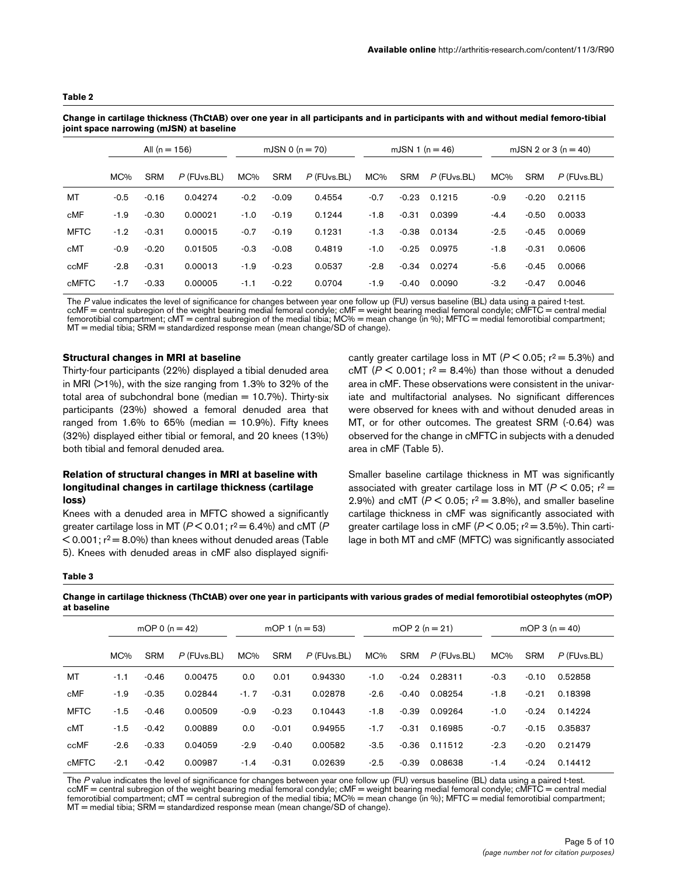|              | All $(n = 156)$ |            |                            | mJSN 0 $(n = 70)$ |            |                            | mJSN 1 ( $n = 46$ ) |            |                            | mJSN 2 or 3 $(n = 40)$ |            |                            |
|--------------|-----------------|------------|----------------------------|-------------------|------------|----------------------------|---------------------|------------|----------------------------|------------------------|------------|----------------------------|
|              | $MC\%$          | <b>SRM</b> | $P$ (FU <sub>vs</sub> .BL) | MC%               | <b>SRM</b> | $P$ (FU <sub>vs</sub> .BL) | $MC\%$              | <b>SRM</b> | $P$ (FU <sub>vs</sub> .BL) | MC%                    | <b>SRM</b> | $P$ (FU <sub>vs</sub> .BL) |
| MT           | $-0.5$          | $-0.16$    | 0.04274                    | $-0.2$            | $-0.09$    | 0.4554                     | $-0.7$              | $-0.23$    | 0.1215                     | $-0.9$                 | $-0.20$    | 0.2115                     |
| $c$ MF       | $-1.9$          | $-0.30$    | 0.00021                    | $-1.0$            | $-0.19$    | 0.1244                     | $-1.8$              | $-0.31$    | 0.0399                     | $-4.4$                 | $-0.50$    | 0.0033                     |
| <b>MFTC</b>  | $-1.2$          | $-0.31$    | 0.00015                    | $-0.7$            | $-0.19$    | 0.1231                     | $-1.3$              | $-0.38$    | 0.0134                     | $-2.5$                 | $-0.45$    | 0.0069                     |
| cMT          | $-0.9$          | $-0.20$    | 0.01505                    | $-0.3$            | $-0.08$    | 0.4819                     | $-1.0$              | $-0.25$    | 0.0975                     | $-1.8$                 | $-0.31$    | 0.0606                     |
| ccMF         | $-2.8$          | $-0.31$    | 0.00013                    | $-1.9$            | $-0.23$    | 0.0537                     | $-2.8$              | $-0.34$    | 0.0274                     | $-5.6$                 | $-0.45$    | 0.0066                     |
| <b>cMFTC</b> | $-1.7$          | $-0.33$    | 0.00005                    | $-1.1$            | $-0.22$    | 0.0704                     | $-1.9$              | $-0.40$    | 0.0090                     | $-3.2$                 | $-0.47$    | 0.0046                     |

**Change in cartilage thickness (ThCtAB) over one year in all participants and in participants with and without medial femoro-tibial joint space narrowing (mJSN) at baseline**

The *P* value indicates the level of significance for changes between year one follow up (FU) versus baseline (BL) data using a paired t-test. ccMF = central subregion of the weight bearing medial femoral condyle; cMF = weight bearing medial femoral condyle; cMFTC = central medial femorotibial compartment; cMT = central subregion of the medial tibia; MC% = mean change (in %); MFTC = medial femorotibial compartment; MT = medial tibia; SRM = standardized response mean (mean change/SD of change).

#### **Structural changes in MRI at baseline**

Thirty-four participants (22%) displayed a tibial denuded area in MRI  $(>1%)$ , with the size ranging from 1.3% to 32% of the total area of subchondral bone (median  $= 10.7\%$ ). Thirty-six participants (23%) showed a femoral denuded area that ranged from 1.6% to 65% (median  $= 10.9$ %). Fifty knees (32%) displayed either tibial or femoral, and 20 knees (13%) both tibial and femoral denuded area.

## **Relation of structural changes in MRI at baseline with longitudinal changes in cartilage thickness (cartilage loss)**

Knees with a denuded area in MFTC showed a significantly greater cartilage loss in MT ( $P < 0.01$ ;  $r^2 = 6.4\%$ ) and cMT ( $P$  $<$  0.001;  $r^2$  = 8.0%) than knees without denuded areas (Table 5). Knees with denuded areas in cMF also displayed signifi-

cantly greater cartilage loss in MT ( $P < 0.05$ ;  $r^2 = 5.3\%$ ) and cMT ( $P < 0.001$ ;  $r^2 = 8.4\%$ ) than those without a denuded area in cMF. These observations were consistent in the univariate and multifactorial analyses. No significant differences were observed for knees with and without denuded areas in MT, or for other outcomes. The greatest SRM (-0.64) was observed for the change in cMFTC in subjects with a denuded area in cMF (Table 5).

Smaller baseline cartilage thickness in MT was significantly associated with greater cartilage loss in MT ( $P < 0.05$ ;  $r^2 =$ 2.9%) and cMT ( $P < 0.05$ ;  $r^2 = 3.8$ %), and smaller baseline cartilage thickness in cMF was significantly associated with greater cartilage loss in cMF ( $P < 0.05$ ;  $r^2 = 3.5\%$ ). Thin cartilage in both MT and cMF (MFTC) was significantly associated

#### **Table 3**

**Change in cartilage thickness (ThCtAB) over one year in participants with various grades of medial femorotibial osteophytes (mOP) at baseline**

|              | mOP 0 $(n = 42)$ |            |                            | mOP 1 $(n = 53)$ |            |                            | mOP 2 $(n = 21)$ |            |                            | mOP 3 $(n = 40)$ |            |                            |
|--------------|------------------|------------|----------------------------|------------------|------------|----------------------------|------------------|------------|----------------------------|------------------|------------|----------------------------|
|              | $MC\%$           | <b>SRM</b> | $P$ (FU <sub>vs</sub> .BL) | MC%              | <b>SRM</b> | $P$ (FU <sub>vs</sub> .BL) | MC%              | <b>SRM</b> | $P$ (FU <sub>vs</sub> .BL) | MC%              | <b>SRM</b> | $P$ (FU <sub>vs</sub> .BL) |
| MT           | $-1.1$           | $-0.46$    | 0.00475                    | 0.0              | 0.01       | 0.94330                    | $-1.0$           | $-0.24$    | 0.28311                    | $-0.3$           | $-0.10$    | 0.52858                    |
| $c$ MF       | $-1.9$           | $-0.35$    | 0.02844                    | $-1.7$           | $-0.31$    | 0.02878                    | $-2.6$           | $-0.40$    | 0.08254                    | $-1.8$           | $-0.21$    | 0.18398                    |
| <b>MFTC</b>  | $-1.5$           | $-0.46$    | 0.00509                    | $-0.9$           | $-0.23$    | 0.10443                    | $-1.8$           | $-0.39$    | 0.09264                    | $-1.0$           | $-0.24$    | 0.14224                    |
| cMT          | $-1.5$           | $-0.42$    | 0.00889                    | 0.0              | $-0.01$    | 0.94955                    | $-1.7$           | $-0.31$    | 0.16985                    | $-0.7$           | $-0.15$    | 0.35837                    |
| ccMF         | $-2.6$           | $-0.33$    | 0.04059                    | $-2.9$           | $-0.40$    | 0.00582                    | $-3.5$           | $-0.36$    | 0.11512                    | $-2.3$           | $-0.20$    | 0.21479                    |
| <b>cMFTC</b> | $-2.1$           | $-0.42$    | 0.00987                    | $-1.4$           | $-0.31$    | 0.02639                    | $-2.5$           | $-0.39$    | 0.08638                    | $-1.4$           | $-0.24$    | 0.14412                    |

The *P* value indicates the level of significance for changes between year one follow up (FU) versus baseline (BL) data using a paired t-test. ccMF = central subregion of the weight bearing medial femoral condyle; cMF = weight bearing medial femoral condyle; cMFTC = central medial femorotibial compartment; cMT = central subregion of the medial tibia; MC% = mean change (in %); MFTC = medial femorotibial compartment; MT = medial tibia; SRM = standardized response mean (mean change/SD of change).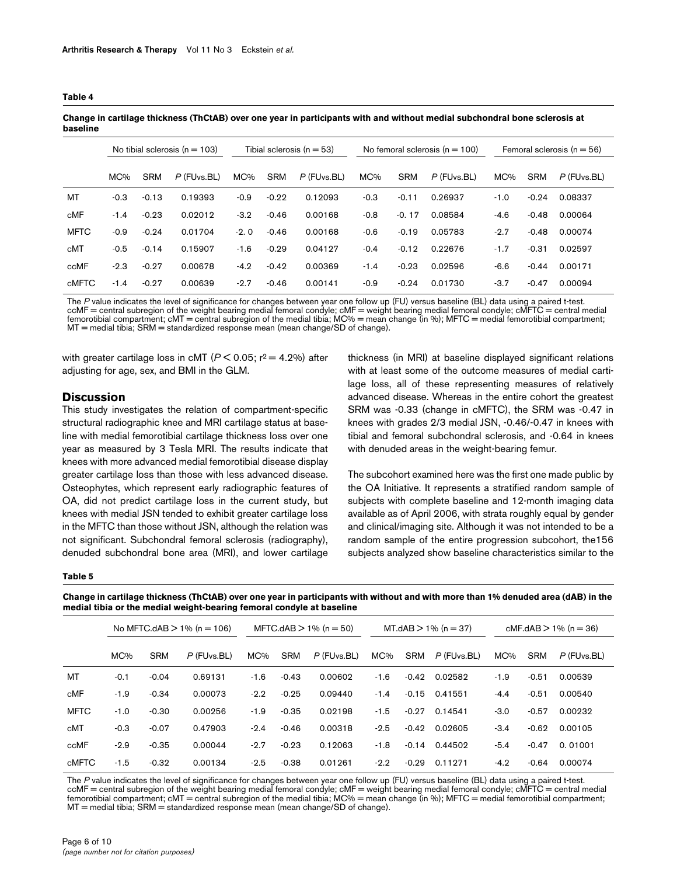#### **Table 4**

|              | No tibial sclerosis ( $n = 103$ ) |            | Tibial sclerosis $(n = 53)$ |        |            |                            |        | No femoral sclerosis $(n = 100)$ | Femoral sclerosis ( $n = 56$ ) |        |            |                            |
|--------------|-----------------------------------|------------|-----------------------------|--------|------------|----------------------------|--------|----------------------------------|--------------------------------|--------|------------|----------------------------|
|              | MC%                               | <b>SRM</b> | $P$ (FU <sub>vs</sub> .BL)  | MC%    | <b>SRM</b> | $P$ (FU <sub>vs</sub> .BL) | MC%    | <b>SRM</b>                       | $P$ (FU <sub>vs</sub> .BL)     | MC%    | <b>SRM</b> | $P$ (FU <sub>vs</sub> .BL) |
| MT           | $-0.3$                            | $-0.13$    | 0.19393                     | $-0.9$ | $-0.22$    | 0.12093                    | $-0.3$ | $-0.11$                          | 0.26937                        | $-1.0$ | $-0.24$    | 0.08337                    |
| cMF          | $-1.4$                            | $-0.23$    | 0.02012                     | $-3.2$ | $-0.46$    | 0.00168                    | $-0.8$ | $-0.17$                          | 0.08584                        | $-4.6$ | $-0.48$    | 0.00064                    |
| <b>MFTC</b>  | $-0.9$                            | $-0.24$    | 0.01704                     | $-2.0$ | $-0.46$    | 0.00168                    | $-0.6$ | $-0.19$                          | 0.05783                        | $-2.7$ | $-0.48$    | 0.00074                    |
| cMT          | $-0.5$                            | $-0.14$    | 0.15907                     | $-1.6$ | $-0.29$    | 0.04127                    | $-0.4$ | $-0.12$                          | 0.22676                        | $-1.7$ | $-0.31$    | 0.02597                    |
| ccMF         | $-2.3$                            | $-0.27$    | 0.00678                     | $-4.2$ | $-0.42$    | 0.00369                    | $-1.4$ | $-0.23$                          | 0.02596                        | $-6.6$ | $-0.44$    | 0.00171                    |
| <b>CMFTC</b> | $-1.4$                            | $-0.27$    | 0.00639                     | $-2.7$ | $-0.46$    | 0.00141                    | $-0.9$ | $-0.24$                          | 0.01730                        | $-3.7$ | $-0.47$    | 0.00094                    |

**Change in cartilage thickness (ThCtAB) over one year in participants with and without medial subchondral bone sclerosis at baseline**

The *P* value indicates the level of significance for changes between year one follow up (FU) versus baseline (BL) data using a paired t-test. ccMF = central subregion of the weight bearing medial femoral condyle; cMF = weight bearing medial femoral condyle; cMFTC = central medial<br>femorotibial compartment; cMT = central subregion of the medial tibia; MC% = mean c  $MT =$  medial tibia;  $SRM =$  standardized response mean (mean change/SD of change).

with greater cartilage loss in cMT ( $P < 0.05$ ;  $r^2 = 4.2\%$ ) after adjusting for age, sex, and BMI in the GLM.

### **Discussion**

This study investigates the relation of compartment-specific structural radiographic knee and MRI cartilage status at baseline with medial femorotibial cartilage thickness loss over one year as measured by 3 Tesla MRI. The results indicate that knees with more advanced medial femorotibial disease display greater cartilage loss than those with less advanced disease. Osteophytes, which represent early radiographic features of OA, did not predict cartilage loss in the current study, but knees with medial JSN tended to exhibit greater cartilage loss in the MFTC than those without JSN, although the relation was not significant. Subchondral femoral sclerosis (radiography), denuded subchondral bone area (MRI), and lower cartilage thickness (in MRI) at baseline displayed significant relations with at least some of the outcome measures of medial cartilage loss, all of these representing measures of relatively advanced disease. Whereas in the entire cohort the greatest SRM was -0.33 (change in cMFTC), the SRM was -0.47 in knees with grades 2/3 medial JSN, -0.46/-0.47 in knees with tibial and femoral subchondral sclerosis, and -0.64 in knees with denuded areas in the weight-bearing femur.

The subcohort examined here was the first one made public by the OA Initiative. It represents a stratified random sample of subjects with complete baseline and 12-month imaging data available as of April 2006, with strata roughly equal by gender and clinical/imaging site. Although it was not intended to be a random sample of the entire progression subcohort, the156 subjects analyzed show baseline characteristics similar to the

#### **Table 5**

**Change in cartilage thickness (ThCtAB) over one year in participants with without and with more than 1% denuded area (dAB) in the medial tibia or the medial weight-bearing femoral condyle at baseline**

|              | No MFTC.dAB $> 1\%$ (n = 106) |            |                            | $MFTC.dAB > 1\% (n = 50)$ |            |                            | $MT.dAB > 1\% (n = 37)$ |            |                            | $cMF.dAB > 1\%$ (n = 36) |            |                            |
|--------------|-------------------------------|------------|----------------------------|---------------------------|------------|----------------------------|-------------------------|------------|----------------------------|--------------------------|------------|----------------------------|
|              | $MC\%$                        | <b>SRM</b> | $P$ (FU <sub>vs</sub> .BL) | MC%                       | <b>SRM</b> | $P$ (FU <sub>vs</sub> .BL) | MC%                     | <b>SRM</b> | $P$ (FU <sub>vs</sub> .BL) | $MC\%$                   | <b>SRM</b> | $P$ (FU <sub>vs</sub> .BL) |
| MT           | $-0.1$                        | $-0.04$    | 0.69131                    | $-1.6$                    | $-0.43$    | 0.00602                    | $-1.6$                  | $-0.42$    | 0.02582                    | $-1.9$                   | $-0.51$    | 0.00539                    |
| cMF          | $-1.9$                        | $-0.34$    | 0.00073                    | $-2.2$                    | $-0.25$    | 0.09440                    | $-1.4$                  | $-0.15$    | 0.41551                    | $-4.4$                   | $-0.51$    | 0.00540                    |
| <b>MFTC</b>  | $-1.0$                        | $-0.30$    | 0.00256                    | $-1.9$                    | $-0.35$    | 0.02198                    | $-1.5$                  | $-0.27$    | 0.14541                    | $-3.0$                   | $-0.57$    | 0.00232                    |
| cMT          | $-0.3$                        | $-0.07$    | 0.47903                    | $-2.4$                    | $-0.46$    | 0.00318                    | $-2.5$                  | $-0.42$    | 0.02605                    | $-3.4$                   | $-0.62$    | 0.00105                    |
| ccMF         | $-2.9$                        | $-0.35$    | 0.00044                    | $-2.7$                    | $-0.23$    | 0.12063                    | $-1.8$                  | $-0.14$    | 0.44502                    | $-5.4$                   | $-0.47$    | 0.01001                    |
| <b>cMFTC</b> | $-1.5$                        | $-0.32$    | 0.00134                    | $-2.5$                    | $-0.38$    | 0.01261                    | $-2.2$                  | $-0.29$    | 0.11271                    | $-4.2$                   | $-0.64$    | 0.00074                    |

The *P* value indicates the level of significance for changes between year one follow up (FU) versus baseline (BL) data using a paired t-test.<br>ccMF = central subregion of the weight bearing medial femoral condyle; cMF = we femorotibial compartment; cMT = central subregion of the medial tibia; MC% = mean change (in %); MFTC = medial femorotibial compartment; MT = medial tibia; SRM = standardized response mean (mean change/SD of change).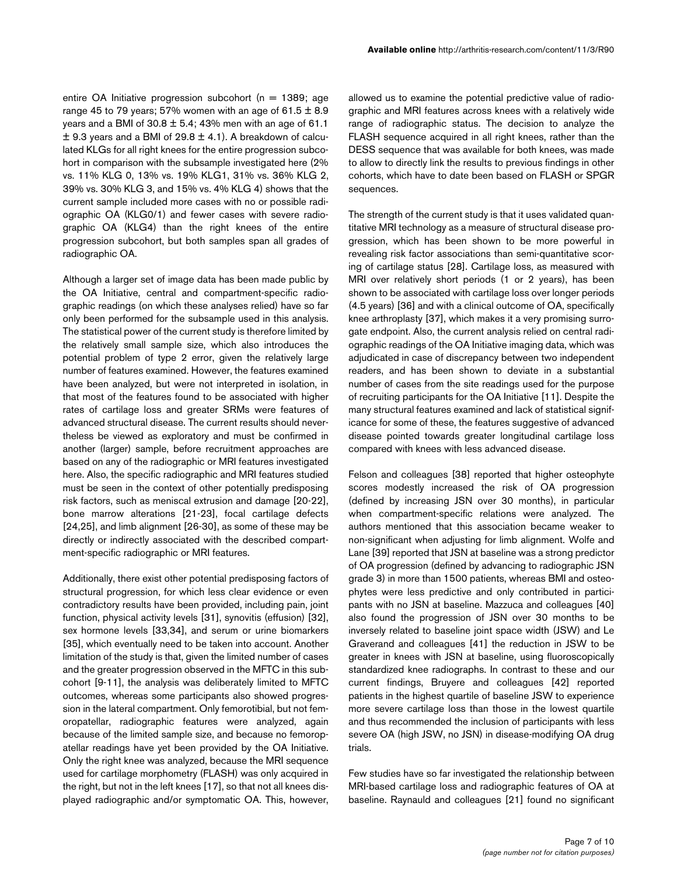entire OA Initiative progression subcohort ( $n = 1389$ ; age range 45 to 79 years; 57% women with an age of 61.5  $\pm$  8.9 years and a BMI of  $30.8 \pm 5.4$ ; 43% men with an age of 61.1  $\pm$  9.3 years and a BMI of 29.8  $\pm$  4.1). A breakdown of calculated KLGs for all right knees for the entire progression subcohort in comparison with the subsample investigated here (2% vs. 11% KLG 0, 13% vs. 19% KLG1, 31% vs. 36% KLG 2, 39% vs. 30% KLG 3, and 15% vs. 4% KLG 4) shows that the current sample included more cases with no or possible radiographic OA (KLG0/1) and fewer cases with severe radiographic OA (KLG4) than the right knees of the entire progression subcohort, but both samples span all grades of radiographic OA.

Although a larger set of image data has been made public by the OA Initiative, central and compartment-specific radiographic readings (on which these analyses relied) have so far only been performed for the subsample used in this analysis. The statistical power of the current study is therefore limited by the relatively small sample size, which also introduces the potential problem of type 2 error, given the relatively large number of features examined. However, the features examined have been analyzed, but were not interpreted in isolation, in that most of the features found to be associated with higher rates of cartilage loss and greater SRMs were features of advanced structural disease. The current results should nevertheless be viewed as exploratory and must be confirmed in another (larger) sample, before recruitment approaches are based on any of the radiographic or MRI features investigated here. Also, the specific radiographic and MRI features studied must be seen in the context of other potentially predisposing risk factors, such as meniscal extrusion and damage [20-22], bone marrow alterations [21-23], focal cartilage defects [24,25], and limb alignment [26-30], as some of these may be directly or indirectly associated with the described compartment-specific radiographic or MRI features.

Additionally, there exist other potential predisposing factors of structural progression, for which less clear evidence or even contradictory results have been provided, including pain, joint function, physical activity levels [31], synovitis (effusion) [32], sex hormone levels [33,34], and serum or urine biomarkers [35], which eventually need to be taken into account. Another limitation of the study is that, given the limited number of cases and the greater progression observed in the MFTC in this subcohort [9-11], the analysis was deliberately limited to MFTC outcomes, whereas some participants also showed progression in the lateral compartment. Only femorotibial, but not femoropatellar, radiographic features were analyzed, again because of the limited sample size, and because no femoropatellar readings have yet been provided by the OA Initiative. Only the right knee was analyzed, because the MRI sequence used for cartilage morphometry (FLASH) was only acquired in the right, but not in the left knees [17], so that not all knees displayed radiographic and/or symptomatic OA. This, however,

allowed us to examine the potential predictive value of radiographic and MRI features across knees with a relatively wide range of radiographic status. The decision to analyze the FLASH sequence acquired in all right knees, rather than the DESS sequence that was available for both knees, was made to allow to directly link the results to previous findings in other cohorts, which have to date been based on FLASH or SPGR sequences.

The strength of the current study is that it uses validated quantitative MRI technology as a measure of structural disease progression, which has been shown to be more powerful in revealing risk factor associations than semi-quantitative scoring of cartilage status [28]. Cartilage loss, as measured with MRI over relatively short periods (1 or 2 years), has been shown to be associated with cartilage loss over longer periods (4.5 years) [36] and with a clinical outcome of OA, specifically knee arthroplasty [37], which makes it a very promising surrogate endpoint. Also, the current analysis relied on central radiographic readings of the OA Initiative imaging data, which was adjudicated in case of discrepancy between two independent readers, and has been shown to deviate in a substantial number of cases from the site readings used for the purpose of recruiting participants for the OA Initiative [11]. Despite the many structural features examined and lack of statistical significance for some of these, the features suggestive of advanced disease pointed towards greater longitudinal cartilage loss compared with knees with less advanced disease.

Felson and colleagues [38] reported that higher osteophyte scores modestly increased the risk of OA progression (defined by increasing JSN over 30 months), in particular when compartment-specific relations were analyzed. The authors mentioned that this association became weaker to non-significant when adjusting for limb alignment. Wolfe and Lane [39] reported that JSN at baseline was a strong predictor of OA progression (defined by advancing to radiographic JSN grade 3) in more than 1500 patients, whereas BMI and osteophytes were less predictive and only contributed in participants with no JSN at baseline. Mazzuca and colleagues [40] also found the progression of JSN over 30 months to be inversely related to baseline joint space width (JSW) and Le Graverand and colleagues [41] the reduction in JSW to be greater in knees with JSN at baseline, using fluoroscopically standardized knee radiographs. In contrast to these and our current findings, Bruyere and colleagues [42] reported patients in the highest quartile of baseline JSW to experience more severe cartilage loss than those in the lowest quartile and thus recommended the inclusion of participants with less severe OA (high JSW, no JSN) in disease-modifying OA drug trials.

Few studies have so far investigated the relationship between MRI-based cartilage loss and radiographic features of OA at baseline. Raynauld and colleagues [21] found no significant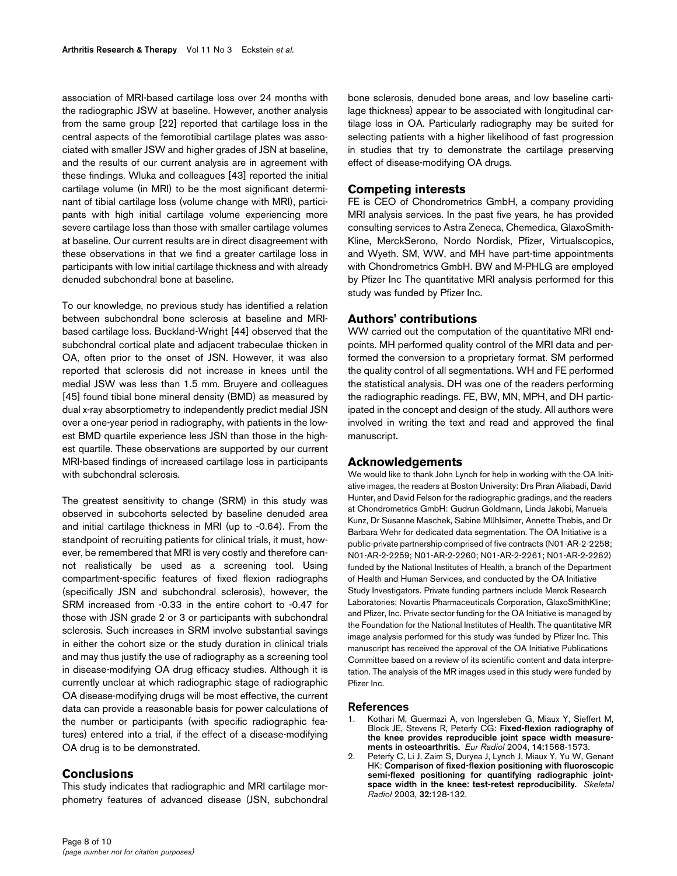association of MRI-based cartilage loss over 24 months with the radiographic JSW at baseline. However, another analysis from the same group [22] reported that cartilage loss in the central aspects of the femorotibial cartilage plates was associated with smaller JSW and higher grades of JSN at baseline, and the results of our current analysis are in agreement with these findings. Wluka and colleagues [43] reported the initial cartilage volume (in MRI) to be the most significant determinant of tibial cartilage loss (volume change with MRI), participants with high initial cartilage volume experiencing more severe cartilage loss than those with smaller cartilage volumes at baseline. Our current results are in direct disagreement with these observations in that we find a greater cartilage loss in participants with low initial cartilage thickness and with already denuded subchondral bone at baseline.

To our knowledge, no previous study has identified a relation between subchondral bone sclerosis at baseline and MRIbased cartilage loss. Buckland-Wright [44] observed that the subchondral cortical plate and adjacent trabeculae thicken in OA, often prior to the onset of JSN. However, it was also reported that sclerosis did not increase in knees until the medial JSW was less than 1.5 mm. Bruyere and colleagues [45] found tibial bone mineral density (BMD) as measured by dual x-ray absorptiometry to independently predict medial JSN over a one-year period in radiography, with patients in the lowest BMD quartile experience less JSN than those in the highest quartile. These observations are supported by our current MRI-based findings of increased cartilage loss in participants with subchondral sclerosis.

The greatest sensitivity to change (SRM) in this study was observed in subcohorts selected by baseline denuded area and initial cartilage thickness in MRI (up to -0.64). From the standpoint of recruiting patients for clinical trials, it must, however, be remembered that MRI is very costly and therefore cannot realistically be used as a screening tool. Using compartment-specific features of fixed flexion radiographs (specifically JSN and subchondral sclerosis), however, the SRM increased from -0.33 in the entire cohort to -0.47 for those with JSN grade 2 or 3 or participants with subchondral sclerosis. Such increases in SRM involve substantial savings in either the cohort size or the study duration in clinical trials and may thus justify the use of radiography as a screening tool in disease-modifying OA drug efficacy studies. Although it is currently unclear at which radiographic stage of radiographic OA disease-modifying drugs will be most effective, the current data can provide a reasonable basis for power calculations of the number or participants (with specific radiographic features) entered into a trial, if the effect of a disease-modifying OA drug is to be demonstrated.

### **Conclusions**

This study indicates that radiographic and MRI cartilage morphometry features of advanced disease (JSN, subchondral bone sclerosis, denuded bone areas, and low baseline cartilage thickness) appear to be associated with longitudinal cartilage loss in OA. Particularly radiography may be suited for selecting patients with a higher likelihood of fast progression in studies that try to demonstrate the cartilage preserving effect of disease-modifying OA drugs.

# **Competing interests**

FE is CEO of Chondrometrics GmbH, a company providing MRI analysis services. In the past five years, he has provided consulting services to Astra Zeneca, Chemedica, GlaxoSmith-Kline, MerckSerono, Nordo Nordisk, Pfizer, Virtualscopics, and Wyeth. SM, WW, and MH have part-time appointments with Chondrometrics GmbH. BW and M-PHLG are employed by Pfizer Inc The quantitative MRI analysis performed for this study was funded by Pfizer Inc.

## **Authors' contributions**

WW carried out the computation of the quantitative MRI endpoints. MH performed quality control of the MRI data and performed the conversion to a proprietary format. SM performed the quality control of all segmentations. WH and FE performed the statistical analysis. DH was one of the readers performing the radiographic readings. FE, BW, MN, MPH, and DH participated in the concept and design of the study. All authors were involved in writing the text and read and approved the final manuscript.

### **Acknowledgements**

We would like to thank John Lynch for help in working with the OA Initiative images, the readers at Boston University: Drs Piran Aliabadi, David Hunter, and David Felson for the radiographic gradings, and the readers at Chondrometrics GmbH: Gudrun Goldmann, Linda Jakobi, Manuela Kunz, Dr Susanne Maschek, Sabine Mühlsimer, Annette Thebis, and Dr Barbara Wehr for dedicated data segmentation. The OA Initiative is a public-private partnership comprised of five contracts (N01-AR-2-2258; N01-AR-2-2259; N01-AR-2-2260; N01-AR-2-2261; N01-AR-2-2262) funded by the National Institutes of Health, a branch of the Department of Health and Human Services, and conducted by the OA Initiative Study Investigators. Private funding partners include Merck Research Laboratories; Novartis Pharmaceuticals Corporation, GlaxoSmithKline; and Pfizer, Inc. Private sector funding for the OA Initiative is managed by the Foundation for the National Institutes of Health. The quantitative MR image analysis performed for this study was funded by Pfizer Inc. This manuscript has received the approval of the OA Initiative Publications Committee based on a review of its scientific content and data interpretation. The analysis of the MR images used in this study were funded by Pfizer Inc.

### **References**

- 1. Kothari M, Guermazi A, von Ingersleben G, Miaux Y, Sieffert M, Block JE, Stevens R, Peterfy CG: **[Fixed-flexion radiography of](http://www.ncbi.nlm.nih.gov/entrez/query.fcgi?cmd=Retrieve&db=PubMed&dopt=Abstract&list_uids=15150666) [the knee provides reproducible joint space width measure](http://www.ncbi.nlm.nih.gov/entrez/query.fcgi?cmd=Retrieve&db=PubMed&dopt=Abstract&list_uids=15150666)[ments in osteoarthritis.](http://www.ncbi.nlm.nih.gov/entrez/query.fcgi?cmd=Retrieve&db=PubMed&dopt=Abstract&list_uids=15150666)** *Eur Radiol* 2004, **14:**1568-1573.
- 2. Peterfy C, Li J, Zaim S, Duryea J, Lynch J, Miaux Y, Yu W, Genant HK: **[Comparison of fixed-flexion positioning with fluoroscopic](http://www.ncbi.nlm.nih.gov/entrez/query.fcgi?cmd=Retrieve&db=PubMed&dopt=Abstract&list_uids=12605275) [semi-flexed positioning for quantifying radiographic joint](http://www.ncbi.nlm.nih.gov/entrez/query.fcgi?cmd=Retrieve&db=PubMed&dopt=Abstract&list_uids=12605275)[space width in the knee: test-retest reproducibility.](http://www.ncbi.nlm.nih.gov/entrez/query.fcgi?cmd=Retrieve&db=PubMed&dopt=Abstract&list_uids=12605275)** *Skeletal Radiol* 2003, **32:**128-132.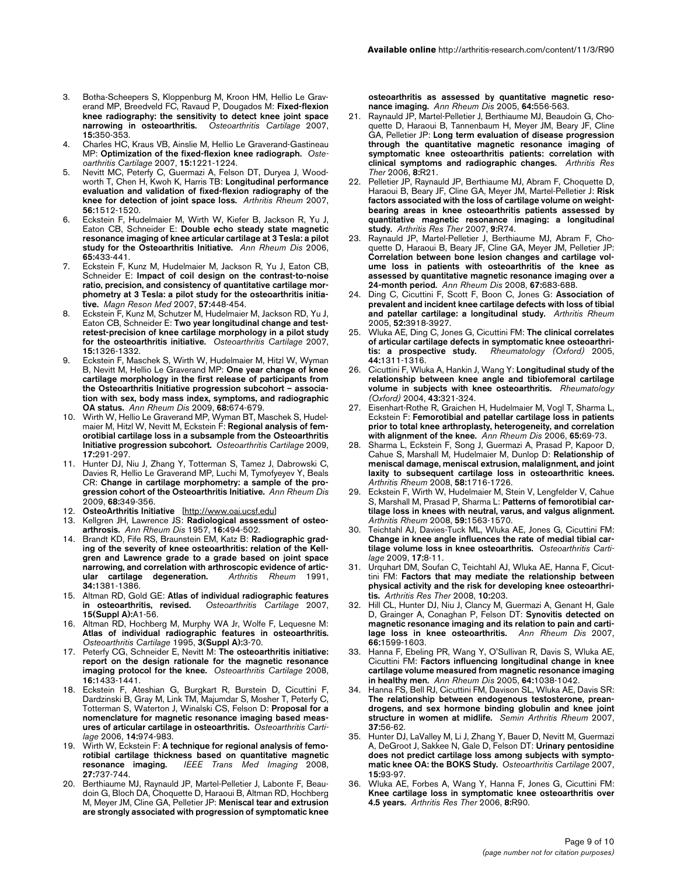- 3. Botha-Scheepers S, Kloppenburg M, Kroon HM, Hellio Le Graverand MP, Breedveld FC, Ravaud P, Dougados M: **[Fixed-flexion](http://www.ncbi.nlm.nih.gov/entrez/query.fcgi?cmd=Retrieve&db=PubMed&dopt=Abstract&list_uids=17074511) [knee radiography: the sensitivity to detect knee joint space](http://www.ncbi.nlm.nih.gov/entrez/query.fcgi?cmd=Retrieve&db=PubMed&dopt=Abstract&list_uids=17074511) [narrowing in osteoarthritis.](http://www.ncbi.nlm.nih.gov/entrez/query.fcgi?cmd=Retrieve&db=PubMed&dopt=Abstract&list_uids=17074511)** *Osteoarthritis Cartilage* 2007, **15:**350-353.
- 4. Charles HC, Kraus VB, Ainslie M, Hellio Le Graverand-Gastineau MP: **[Optimization of the fixed-flexion knee radiograph.](http://www.ncbi.nlm.nih.gov/entrez/query.fcgi?cmd=Retrieve&db=PubMed&dopt=Abstract&list_uids=17977754)** *Osteoarthritis Cartilage* 2007, **15:**1221-1224.
- 5. Nevitt MC, Peterfy C, Guermazi A, Felson DT, Duryea J, Woodworth T, Chen H, Kwoh K, Harris TB: **[Longitudinal performance](http://www.ncbi.nlm.nih.gov/entrez/query.fcgi?cmd=Retrieve&db=PubMed&dopt=Abstract&list_uids=17469126) [evaluation and validation of fixed-flexion radiography of the](http://www.ncbi.nlm.nih.gov/entrez/query.fcgi?cmd=Retrieve&db=PubMed&dopt=Abstract&list_uids=17469126) [knee for detection of joint space loss.](http://www.ncbi.nlm.nih.gov/entrez/query.fcgi?cmd=Retrieve&db=PubMed&dopt=Abstract&list_uids=17469126)** *Arthritis Rheum* 2007, **56:**1512-1520.
- 6. Eckstein F, Hudelmaier M, Wirth W, Kiefer B, Jackson R, Yu J, Eaton CB, Schneider E: **[Double echo steady state magnetic](http://www.ncbi.nlm.nih.gov/entrez/query.fcgi?cmd=Retrieve&db=PubMed&dopt=Abstract&list_uids=16126797) [resonance imaging of knee articular cartilage at 3 Tesla: a pilot](http://www.ncbi.nlm.nih.gov/entrez/query.fcgi?cmd=Retrieve&db=PubMed&dopt=Abstract&list_uids=16126797) [study for the Osteoarthritis Initiative.](http://www.ncbi.nlm.nih.gov/entrez/query.fcgi?cmd=Retrieve&db=PubMed&dopt=Abstract&list_uids=16126797)** *Ann Rheum Dis* 2006, **65:**433-441.
- 7. Eckstein F, Kunz M, Hudelmaier M, Jackson R, Yu J, Eaton CB, Schneider E: **[Impact of coil design on the contrast-to-noise](http://www.ncbi.nlm.nih.gov/entrez/query.fcgi?cmd=Retrieve&db=PubMed&dopt=Abstract&list_uids=17260363) [ratio, precision, and consistency of quantitative cartilage mor](http://www.ncbi.nlm.nih.gov/entrez/query.fcgi?cmd=Retrieve&db=PubMed&dopt=Abstract&list_uids=17260363)phometry at 3 Tesla: a pilot study for the osteoarthritis initia[tive.](http://www.ncbi.nlm.nih.gov/entrez/query.fcgi?cmd=Retrieve&db=PubMed&dopt=Abstract&list_uids=17260363)** *Magn Reson Med* 2007, **57:**448-454.
- 8. Eckstein F, Kunz M, Schutzer M, Hudelmaier M, Jackson RD, Yu J, Eaton CB, Schneider E: **[Two year longitudinal change and test](http://www.ncbi.nlm.nih.gov/entrez/query.fcgi?cmd=Retrieve&db=PubMed&dopt=Abstract&list_uids=17560813)[retest-precision of knee cartilage morphology in a pilot study](http://www.ncbi.nlm.nih.gov/entrez/query.fcgi?cmd=Retrieve&db=PubMed&dopt=Abstract&list_uids=17560813) [for the osteoarthritis initiative.](http://www.ncbi.nlm.nih.gov/entrez/query.fcgi?cmd=Retrieve&db=PubMed&dopt=Abstract&list_uids=17560813)** *Osteoarthritis Cartilage* 2007, **15:**1326-1332.
- 9. Eckstein F, Maschek S, Wirth W, Hudelmaier M, Hitzl W, Wyman B, Nevitt M, Hellio Le Graverand MP: **[One year change of knee](http://www.ncbi.nlm.nih.gov/entrez/query.fcgi?cmd=Retrieve&db=PubMed&dopt=Abstract&list_uids=18519425) [cartilage morphology in the first release of participants from](http://www.ncbi.nlm.nih.gov/entrez/query.fcgi?cmd=Retrieve&db=PubMed&dopt=Abstract&list_uids=18519425) the Osteoarthritis Initiative progression subcohort – association with sex, body mass index, symptoms, and radiographic [OA status.](http://www.ncbi.nlm.nih.gov/entrez/query.fcgi?cmd=Retrieve&db=PubMed&dopt=Abstract&list_uids=18519425)** *Ann Rheum Dis* 2009, **68:**674-679.
- 10. Wirth W, Hellio Le Graverand MP, Wyman BT, Maschek S, Hudelmaier M, Hitzl W, Nevitt M, Eckstein F: **[Regional analysis of fem](http://www.ncbi.nlm.nih.gov/entrez/query.fcgi?cmd=Retrieve&db=PubMed&dopt=Abstract&list_uids=18789729)[orotibial cartilage loss in a subsample from the Osteoarthritis](http://www.ncbi.nlm.nih.gov/entrez/query.fcgi?cmd=Retrieve&db=PubMed&dopt=Abstract&list_uids=18789729) [Initiative progression subcohort.](http://www.ncbi.nlm.nih.gov/entrez/query.fcgi?cmd=Retrieve&db=PubMed&dopt=Abstract&list_uids=18789729)** *Osteoarthritis Cartilage* 2009, **17:**291-297.
- 11. Hunter DJ, Niu J, Zhang Y, Totterman S, Tamez J, Dabrowski C, Davies R, Hellio Le Graverand MP, Luchi M, Tymofyeyev Y, Beals CR: **[Change in cartilage morphometry: a sample of the pro](http://www.ncbi.nlm.nih.gov/entrez/query.fcgi?cmd=Retrieve&db=PubMed&dopt=Abstract&list_uids=18408248)[gression cohort of the Osteoarthritis Initiative.](http://www.ncbi.nlm.nih.gov/entrez/query.fcgi?cmd=Retrieve&db=PubMed&dopt=Abstract&list_uids=18408248)** *Ann Rheum Dis* 2009, **68:**349-356.
- 12. **OsteoArthritis Initiative** [\[http://www.oai.ucsf.edu](http://www.oai.ucsf.edu)]
- 13. Kellgren JH, Lawrence JS: **[Radiological assessment of osteo](http://www.ncbi.nlm.nih.gov/entrez/query.fcgi?cmd=Retrieve&db=PubMed&dopt=Abstract&list_uids=13498604)[arthrosis.](http://www.ncbi.nlm.nih.gov/entrez/query.fcgi?cmd=Retrieve&db=PubMed&dopt=Abstract&list_uids=13498604)** *Ann Rheum Dis* 1957, **16:**494-502.
- 14. Brandt KD, Fife RS, Braunstein EM, Katz B: **[Radiographic grad](http://www.ncbi.nlm.nih.gov/entrez/query.fcgi?cmd=Retrieve&db=PubMed&dopt=Abstract&list_uids=1953815)[ing of the severity of knee osteoarthritis: relation of the Kell](http://www.ncbi.nlm.nih.gov/entrez/query.fcgi?cmd=Retrieve&db=PubMed&dopt=Abstract&list_uids=1953815)gren and Lawrence grade to a grade based on joint space narrowing, and correlation with arthroscopic evidence of artic-<br>
ular cartilage degeneration.** Arthritis Rheum 1991, **[ular cartilage degeneration.](http://www.ncbi.nlm.nih.gov/entrez/query.fcgi?cmd=Retrieve&db=PubMed&dopt=Abstract&list_uids=1953815)** *Arthritis Rheum* 1991, **34:**1381-1386.
- 15. Altman RD, Gold GE: **[Atlas of individual radiographic features](http://www.ncbi.nlm.nih.gov/entrez/query.fcgi?cmd=Retrieve&db=PubMed&dopt=Abstract&list_uids=17320422) [in osteoarthritis, revised.](http://www.ncbi.nlm.nih.gov/entrez/query.fcgi?cmd=Retrieve&db=PubMed&dopt=Abstract&list_uids=17320422)** *Osteoarthritis Cartilage* 2007, **15(Suppl A):**A1-56.
- 16. Altman RD, Hochberg M, Murphy WA Jr, Wolfe F, Lequesne M: **[Atlas of individual radiographic features in osteoarthritis.](http://www.ncbi.nlm.nih.gov/entrez/query.fcgi?cmd=Retrieve&db=PubMed&dopt=Abstract&list_uids=8581752)** *Osteoarthritis Cartilage* 1995, **3(Suppl A):**3-70.
- 17. Peterfy CG, Schneider E, Nevitt M: **[The osteoarthritis initiative:](http://www.ncbi.nlm.nih.gov/entrez/query.fcgi?cmd=Retrieve&db=PubMed&dopt=Abstract&list_uids=18786841) [report on the design rationale for the magnetic resonance](http://www.ncbi.nlm.nih.gov/entrez/query.fcgi?cmd=Retrieve&db=PubMed&dopt=Abstract&list_uids=18786841) [imaging protocol for the knee.](http://www.ncbi.nlm.nih.gov/entrez/query.fcgi?cmd=Retrieve&db=PubMed&dopt=Abstract&list_uids=18786841)** *Osteoarthritis Cartilage* 2008, **16:**1433-1441.
- 18. Eckstein F, Ateshian G, Burgkart R, Burstein D, Cicuttini F, Dardzinski B, Gray M, Link TM, Majumdar S, Mosher T, Peterfy C, Totterman S, Waterton J, Winalski CS, Felson D: **[Proposal for a](http://www.ncbi.nlm.nih.gov/entrez/query.fcgi?cmd=Retrieve&db=PubMed&dopt=Abstract&list_uids=16730462) [nomenclature for magnetic resonance imaging based meas](http://www.ncbi.nlm.nih.gov/entrez/query.fcgi?cmd=Retrieve&db=PubMed&dopt=Abstract&list_uids=16730462)[ures of articular cartilage in osteoarthritis.](http://www.ncbi.nlm.nih.gov/entrez/query.fcgi?cmd=Retrieve&db=PubMed&dopt=Abstract&list_uids=16730462)** *Osteoarthritis Cartilage* 2006, **14:**974-983.
- 19. Wirth W, Eckstein F: **[A technique for regional analysis of femo](http://www.ncbi.nlm.nih.gov/entrez/query.fcgi?cmd=Retrieve&db=PubMed&dopt=Abstract&list_uids=18541481)[rotibial cartilage thickness based on quantitative magnetic](http://www.ncbi.nlm.nih.gov/entrez/query.fcgi?cmd=Retrieve&db=PubMed&dopt=Abstract&list_uids=18541481) [resonance imaging.](http://www.ncbi.nlm.nih.gov/entrez/query.fcgi?cmd=Retrieve&db=PubMed&dopt=Abstract&list_uids=18541481)** *IEEE Trans Med Imaging* 2008, **27:**737-744.
- 20. Berthiaume MJ, Raynauld JP, Martel-Pelletier J, Labonte F, Beaudoin G, Bloch DA, Choquette D, Haraoui B, Altman RD, Hochberg M, Meyer JM, Cline GA, Pelletier JP: **[Meniscal tear and extrusion](http://www.ncbi.nlm.nih.gov/entrez/query.fcgi?cmd=Retrieve&db=PubMed&dopt=Abstract&list_uids=15374855) [are strongly associated with progression of symptomatic knee](http://www.ncbi.nlm.nih.gov/entrez/query.fcgi?cmd=Retrieve&db=PubMed&dopt=Abstract&list_uids=15374855)**

**[osteoarthritis as assessed by quantitative magnetic reso](http://www.ncbi.nlm.nih.gov/entrez/query.fcgi?cmd=Retrieve&db=PubMed&dopt=Abstract&list_uids=15374855)[nance imaging.](http://www.ncbi.nlm.nih.gov/entrez/query.fcgi?cmd=Retrieve&db=PubMed&dopt=Abstract&list_uids=15374855)** *Ann Rheum Dis* 2005, **64:**556-563.

- 21. Raynauld JP, Martel-Pelletier J, Berthiaume MJ, Beaudoin G, Choquette D, Haraoui B, Tannenbaum H, Meyer JM, Beary JF, Cline GA, Pelletier JP: **[Long term evaluation of disease progression](http://www.ncbi.nlm.nih.gov/entrez/query.fcgi?cmd=Retrieve&db=PubMed&dopt=Abstract&list_uids=16507119) [through the quantitative magnetic resonance imaging of](http://www.ncbi.nlm.nih.gov/entrez/query.fcgi?cmd=Retrieve&db=PubMed&dopt=Abstract&list_uids=16507119) symptomatic knee osteoarthritis patients: correlation with [clinical symptoms and radiographic changes.](http://www.ncbi.nlm.nih.gov/entrez/query.fcgi?cmd=Retrieve&db=PubMed&dopt=Abstract&list_uids=16507119)** *Arthritis Res Ther* 2006, **8:**R21.
- 22. Pelletier JP, Raynauld JP, Berthiaume MJ, Abram F, Choquette D, Haraoui B, Beary JF, Cline GA, Meyer JM, Martel-Pelletier J: **[Risk](http://www.ncbi.nlm.nih.gov/entrez/query.fcgi?cmd=Retrieve&db=PubMed&dopt=Abstract&list_uids=17672891) factors associated with the loss of cartilage volume on weightbearing areas in knee osteoarthritis patients assessed by [quantitative magnetic resonance imaging: a longitudinal](http://www.ncbi.nlm.nih.gov/entrez/query.fcgi?cmd=Retrieve&db=PubMed&dopt=Abstract&list_uids=17672891) [study.](http://www.ncbi.nlm.nih.gov/entrez/query.fcgi?cmd=Retrieve&db=PubMed&dopt=Abstract&list_uids=17672891)** *Arthritis Res Ther* 2007, **9:**R74.
- 23. Raynauld JP, Martel-Pelletier J, Berthiaume MJ, Abram F, Choquette D, Haraoui B, Beary JF, Cline GA, Meyer JM, Pelletier JP: **Correlation between bone lesion changes and cartilage vol[ume loss in patients with osteoarthritis of the knee as](http://www.ncbi.nlm.nih.gov/entrez/query.fcgi?cmd=Retrieve&db=PubMed&dopt=Abstract&list_uids=17728333) assessed by quantitative magnetic resonance imaging over a [24-month period.](http://www.ncbi.nlm.nih.gov/entrez/query.fcgi?cmd=Retrieve&db=PubMed&dopt=Abstract&list_uids=17728333)** *Ann Rheum Dis* 2008, **67:**683-688.
- 24. Ding C, Cicuttini F, Scott F, Boon C, Jones G: **[Association of](http://www.ncbi.nlm.nih.gov/entrez/query.fcgi?cmd=Retrieve&db=PubMed&dopt=Abstract&list_uids=16320339) [prevalent and incident knee cartilage defects with loss of tibial](http://www.ncbi.nlm.nih.gov/entrez/query.fcgi?cmd=Retrieve&db=PubMed&dopt=Abstract&list_uids=16320339) [and patellar cartilage: a longitudinal study.](http://www.ncbi.nlm.nih.gov/entrez/query.fcgi?cmd=Retrieve&db=PubMed&dopt=Abstract&list_uids=16320339)** *Arthritis Rheum* 2005, **52:**3918-3927.
- 25. Wluka AE, Ding C, Jones G, Cicuttini FM: **[The clinical correlates](http://www.ncbi.nlm.nih.gov/entrez/query.fcgi?cmd=Retrieve&db=PubMed&dopt=Abstract&list_uids=16030084) [of articular cartilage defects in symptomatic knee osteoarthri](http://www.ncbi.nlm.nih.gov/entrez/query.fcgi?cmd=Retrieve&db=PubMed&dopt=Abstract&list_uids=16030084)[tis: a prospective study.](http://www.ncbi.nlm.nih.gov/entrez/query.fcgi?cmd=Retrieve&db=PubMed&dopt=Abstract&list_uids=16030084)** *Rheumatology (Oxford)* 2005, **44:**1311-1316.
- 26. Cicuttini F, Wluka A, Hankin J, Wang Y: **[Longitudinal study of the](http://www.ncbi.nlm.nih.gov/entrez/query.fcgi?cmd=Retrieve&db=PubMed&dopt=Abstract&list_uids=14963201) [relationship between knee angle and tibiofemoral cartilage](http://www.ncbi.nlm.nih.gov/entrez/query.fcgi?cmd=Retrieve&db=PubMed&dopt=Abstract&list_uids=14963201) [volume in subjects with knee osteoarthritis.](http://www.ncbi.nlm.nih.gov/entrez/query.fcgi?cmd=Retrieve&db=PubMed&dopt=Abstract&list_uids=14963201)** *Rheumatology (Oxford)* 2004, **43:**321-324.
- 27. Eisenhart-Rothe R, Graichen H, Hudelmaier M, Vogl T, Sharma L, Eckstein F: **[Femorotibial and patellar cartilage loss in patients](http://www.ncbi.nlm.nih.gov/entrez/query.fcgi?cmd=Retrieve&db=PubMed&dopt=Abstract&list_uids=15975965) [prior to total knee arthroplasty, heterogeneity, and correlation](http://www.ncbi.nlm.nih.gov/entrez/query.fcgi?cmd=Retrieve&db=PubMed&dopt=Abstract&list_uids=15975965) [with alignment of the knee.](http://www.ncbi.nlm.nih.gov/entrez/query.fcgi?cmd=Retrieve&db=PubMed&dopt=Abstract&list_uids=15975965)** *Ann Rheum Dis* 2006, **65:**69-73.
- 28. Sharma L, Eckstein F, Song J, Guermazi A, Prasad P, Kapoor D, Cahue S, Marshall M, Hudelmaier M, Dunlop D: **[Relationship of](http://www.ncbi.nlm.nih.gov/entrez/query.fcgi?cmd=Retrieve&db=PubMed&dopt=Abstract&list_uids=18512777) [meniscal damage, meniscal extrusion, malalignment, and joint](http://www.ncbi.nlm.nih.gov/entrez/query.fcgi?cmd=Retrieve&db=PubMed&dopt=Abstract&list_uids=18512777) laxity to subsequent cartilage loss in osteoarthritic knees.** *Arthritis Rheum* 2008, **58:**1716-1726.
- 29. Eckstein F, Wirth W, Hudelmaier M, Stein V, Lengfelder V, Cahue S, Marshall M, Prasad P, Sharma L: **[Patterns of femorotibial car](http://www.ncbi.nlm.nih.gov/entrez/query.fcgi?cmd=Retrieve&db=PubMed&dopt=Abstract&list_uids=18975356)[tilage loss in knees with neutral, varus, and valgus alignment.](http://www.ncbi.nlm.nih.gov/entrez/query.fcgi?cmd=Retrieve&db=PubMed&dopt=Abstract&list_uids=18975356)** *Arthritis Rheum* 2008, **59:**1563-1570.
- 30. Teichtahl AJ, Davies-Tuck ML, Wluka AE, Jones G, Cicuttini FM: **[Change in knee angle influences the rate of medial tibial car](http://www.ncbi.nlm.nih.gov/entrez/query.fcgi?cmd=Retrieve&db=PubMed&dopt=Abstract&list_uids=18590972)[tilage volume loss in knee osteoarthritis.](http://www.ncbi.nlm.nih.gov/entrez/query.fcgi?cmd=Retrieve&db=PubMed&dopt=Abstract&list_uids=18590972)** *Osteoarthritis Cartilage* 2009, **17:**8-11.
- 31. Urquhart DM, Soufan C, Teichtahl AJ, Wluka AE, Hanna F, Cicuttini FM: **[Factors that may mediate the relationship between](http://www.ncbi.nlm.nih.gov/entrez/query.fcgi?cmd=Retrieve&db=PubMed&dopt=Abstract&list_uids=18279536) [physical activity and the risk for developing knee osteoarthri](http://www.ncbi.nlm.nih.gov/entrez/query.fcgi?cmd=Retrieve&db=PubMed&dopt=Abstract&list_uids=18279536)[tis.](http://www.ncbi.nlm.nih.gov/entrez/query.fcgi?cmd=Retrieve&db=PubMed&dopt=Abstract&list_uids=18279536)** *Arthritis Res Ther* 2008, **10:**203.
- 32. Hill CL, Hunter DJ, Niu J, Clancy M, Guermazi A, Genant H, Gale D, Grainger A, Conaghan P, Felson DT: **[Synovitis detected on](http://www.ncbi.nlm.nih.gov/entrez/query.fcgi?cmd=Retrieve&db=PubMed&dopt=Abstract&list_uids=17491096) [magnetic resonance imaging and its relation to pain and carti](http://www.ncbi.nlm.nih.gov/entrez/query.fcgi?cmd=Retrieve&db=PubMed&dopt=Abstract&list_uids=17491096)[lage loss in knee osteoarthritis.](http://www.ncbi.nlm.nih.gov/entrez/query.fcgi?cmd=Retrieve&db=PubMed&dopt=Abstract&list_uids=17491096)** *Ann Rheum Dis* 2007, **66:**1599-1603.
- Hanna F, Ebeling PR, Wang Y, O'Sullivan R, Davis S, Wluka AE, Cicuttini FM: **[Factors influencing longitudinal change in knee](http://www.ncbi.nlm.nih.gov/entrez/query.fcgi?cmd=Retrieve&db=PubMed&dopt=Abstract&list_uids=15640270) [cartilage volume measured from magnetic resonance imaging](http://www.ncbi.nlm.nih.gov/entrez/query.fcgi?cmd=Retrieve&db=PubMed&dopt=Abstract&list_uids=15640270) [in healthy men.](http://www.ncbi.nlm.nih.gov/entrez/query.fcgi?cmd=Retrieve&db=PubMed&dopt=Abstract&list_uids=15640270)** *Ann Rheum Dis* 2005, **64:**1038-1042.
- 34. Hanna FS, Bell RJ, Cicuttini FM, Davison SL, Wluka AE, Davis SR: **[The relationship between endogenous testosterone, prean](http://www.ncbi.nlm.nih.gov/entrez/query.fcgi?cmd=Retrieve&db=PubMed&dopt=Abstract&list_uids=17303218)drogens, and sex hormone binding globulin and knee joint [structure in women at midlife.](http://www.ncbi.nlm.nih.gov/entrez/query.fcgi?cmd=Retrieve&db=PubMed&dopt=Abstract&list_uids=17303218)** *Semin Arthritis Rheum* 2007, **37:**56-62.
- 35. Hunter DJ, LaValley M, Li J, Zhang Y, Bauer D, Nevitt M, Guermazi A, DeGroot J, Sakkee N, Gale D, Felson DT: **[Urinary pentosidine](http://www.ncbi.nlm.nih.gov/entrez/query.fcgi?cmd=Retrieve&db=PubMed&dopt=Abstract&list_uids=16857393) [does not predict cartilage loss among subjects with sympto](http://www.ncbi.nlm.nih.gov/entrez/query.fcgi?cmd=Retrieve&db=PubMed&dopt=Abstract&list_uids=16857393)[matic knee OA: the BOKS Study.](http://www.ncbi.nlm.nih.gov/entrez/query.fcgi?cmd=Retrieve&db=PubMed&dopt=Abstract&list_uids=16857393)** *Osteoarthritis Cartilage* 2007, **15:**93-97.
- 36. Wluka AE, Forbes A, Wang Y, Hanna F, Jones G, Cicuttini FM: **[Knee cartilage loss in symptomatic knee osteoarthritis over](http://www.ncbi.nlm.nih.gov/entrez/query.fcgi?cmd=Retrieve&db=PubMed&dopt=Abstract&list_uids=16704746) [4.5 years.](http://www.ncbi.nlm.nih.gov/entrez/query.fcgi?cmd=Retrieve&db=PubMed&dopt=Abstract&list_uids=16704746)** *Arthritis Res Ther* 2006, **8:**R90.